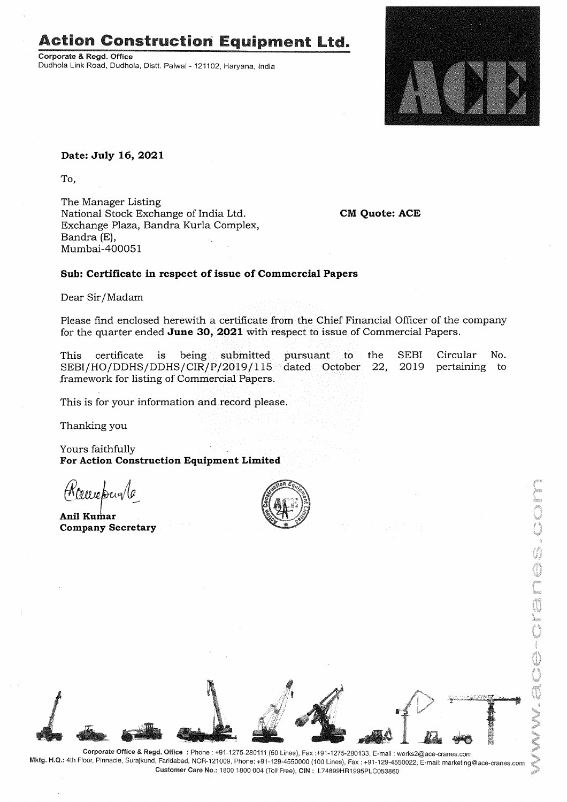# **Action Construction Equipment Ltd.**

Corporate & Regd. Office Dudhola Link Road, Dudhola, Distt. Palwal - 121102, Haryana, India



### **Date: July 16, 2021**

To,

The Manager Listing National Stock Exchange of India Ltd. Exchange Plaza, Sandra Kurla Complex, Bandra (E), Mumbai-400051

**CM Quote: ACE**

## **Sub: Certificate in respect of issue of Commercial Papers**

Dear Sir/Madam

Please find enclosed herewith a certificate from the Chief Financial Officer of the company for the quarter ended **June 30, 2021** with respect to issue of Commercial Papers.

Circular No. pertaining to SEBI 2019 pursuant to the SEBI/HO/DDHS/DDHS/CIR/P/2019/115 dated October 22, This certificate is being submitted framework for listing of Commercial Papers.

This is for your information and record please.

Thanking you

Yours faithfully **For Action Construction Equipment Limited**

Wow when la

**Anil Kumar Company Secretary**





Corporate Office & Regd. Office: Phone: +91-1275-280111(50 Lines), Fax:+91-1275-280133, E-mail: works2@ace-cranes.com Mktg. H.Q.: 4th Floor, Pinnacle, Surajkund, Faridabad, NCR-121009, Phone: +91-129-4550000 (100 Lines), Fax: +91-129-4550022, E-mail: marketing@ace-cranes.com Customer Care No.: 18001800004 (TollFree), CIN: L74899HR1995PLC053860